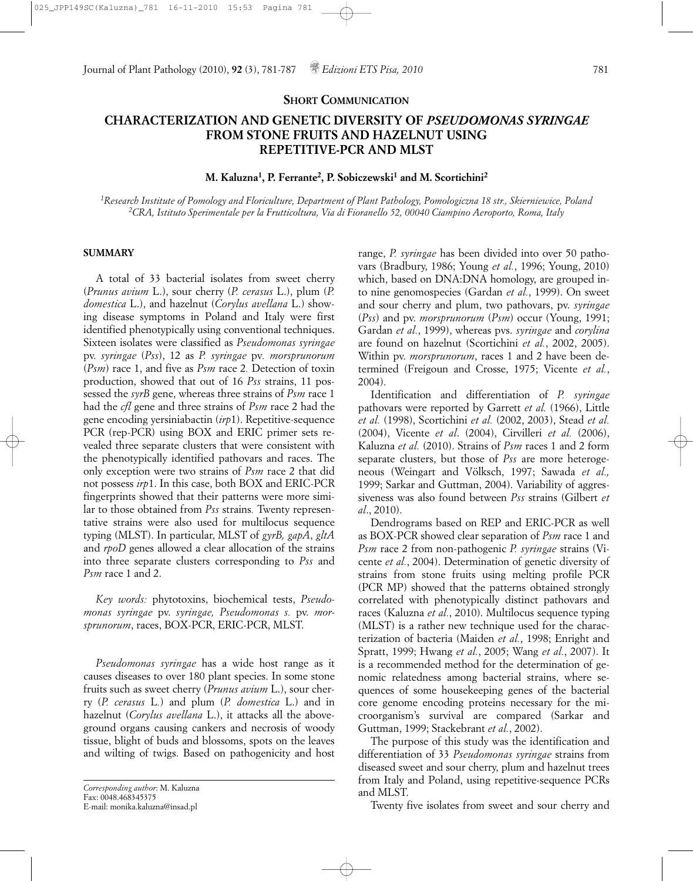#### **SHORT COMMUNICATION**

# **CHARACTERIZATION AND GENETIC DIVERSITY OF** *PSEUDOMONAS SYRINGAE* **FROM STONE FRUITS AND HAZELNUT USING REPETITIVE-PCR AND MLST**

## **M. Kaluzna1, P. Ferrante2, P. Sobiczewski1 and M. Scortichini2**

*1Research Institute of Pomology and Floriculture, Department of Plant Pathology, Pomologiczna 18 str., Skierniewice, Poland 2CRA, Istituto Sperimentale per la Frutticoltura, Via di Fioranello 52, 00040 Ciampino Aeroporto, Roma, Italy*

#### **SUMMARY**

A total of 33 bacterial isolates from sweet cherry (*Prunus avium* L.), sour cherry (*P. cerasus* L.), plum (*P. domestica* L.), and hazelnut (*Corylus avellana* L.) showing disease symptoms in Poland and Italy were first identified phenotypically using conventional techniques. Sixteen isolates were classified as *Pseudomonas syringae* pv. *syringae* (*Pss*), 12 as *P. syringae* pv*. morsprunorum* (*Psm*) race 1, and five as *Psm* race 2*.* Detection of toxin production, showed that out of 16 *Pss* strains, 11 possessed the *syrB* gene, whereas three strains of *Psm* race 1 had the *cfl* gene and three strains of *Psm* race 2 had the gene encoding yersiniabactin (*irp*1). Repetitive-sequence PCR (rep-PCR) using BOX and ERIC primer sets revealed three separate clusters that were consistent with the phenotypically identified pathovars and races. The only exception were two strains of *Psm* race 2 that did not possess *irp*1. In this case, both BOX and ERIC-PCR fingerprints showed that their patterns were more similar to those obtained from *Pss* strains*.* Twenty representative strains were also used for multilocus sequence typing (MLST). In particular, MLST of *gyrB, gapA*, *gltA* and *rpoD* genes allowed a clear allocation of the strains into three separate clusters corresponding to *Pss* and *Psm* race 1 and 2.

*Key words:* phytotoxins, biochemical tests, *Pseudomonas syringae* pv. *syringae, Pseudomonas s.* pv. *morsprunorum*, races, BOX-PCR, ERIC-PCR, MLST.

*Pseudomonas syringae* has a wide host range as it causes diseases to over 180 plant species. In some stone fruits such as sweet cherry (*Prunus avium* L.), sour cherry (*P. cerasus* L*.*) and plum (*P. domestica* L.) and in hazelnut (*Corylus avellana* L.), it attacks all the aboveground organs causing cankers and necrosis of woody tissue, blight of buds and blossoms, spots on the leaves and wilting of twigs. Based on pathogenicity and host

*Corresponding author*: M. Kaluzna Fax: 0048.468345375 E-mail: monika.kaluzna@insad.pl

range, *P. syringae* has been divided into over 50 pathovars (Bradbury, 1986; Young *et al.*, 1996; Young, 2010) which, based on DNA:DNA homology, are grouped into nine genomospecies (Gardan *et al.*, 1999). On sweet and sour cherry and plum, two pathovars, pv. *syringae* (*Pss*) and pv. *morsprunorum* (*Psm*) occur (Young, 1991; Gardan *et al.*, 1999), whereas pvs. *syringae* and *corylina* are found on hazelnut (Scortichini *et al.*, 2002, 2005). Within pv. *morsprunorum*, races 1 and 2 have been determined (Freigoun and Crosse, 1975; Vicente *et al.*, 2004).

Identification and differentiation of *P. syringae* pathovars were reported by Garrett *et al.* (1966), Little *et al.* (1998), Scortichini *et al.* (2002, 2003), Stead *et al.* (2004), Vicente *et al*. (2004), Cirvilleri *et al.* (2006), Kaluzna *et al.* (2010). Strains of *Psm* races 1 and 2 form separate clusters, but those of *Pss* are more heterogeneous (Weingart and Völksch, 1997; Sawada *et al.,* 1999; Sarkar and Guttman, 2004). Variability of aggressiveness was also found between *Pss* strains (Gilbert *et al*., 2010).

Dendrograms based on REP and ERIC-PCR as well as BOX-PCR showed clear separation of *Psm* race 1 and *Psm* race 2 from non-pathogenic *P. syringae* strains (Vicente *et al.*, 2004). Determination of genetic diversity of strains from stone fruits using melting profile PCR (PCR MP) showed that the patterns obtained strongly correlated with phenotypically distinct pathovars and races (Kaluzna *et al.*, 2010). Multilocus sequence typing (MLST) is a rather new technique used for the characterization of bacteria (Maiden *et al.*, 1998; Enright and Spratt, 1999; Hwang *et al.*, 2005; Wang *et al.*, 2007). It is a recommended method for the determination of genomic relatedness among bacterial strains, where sequences of some housekeeping genes of the bacterial core genome encoding proteins necessary for the microorganism's survival are compared (Sarkar and Guttman, 1999; Stackebrant *et al.*, 2002).

The purpose of this study was the identification and differentiation of 33 *Pseudomonas syringae* strains from diseased sweet and sour cherry, plum and hazelnut trees from Italy and Poland, using repetitive-sequence PCRs and MLST.

Twenty five isolates from sweet and sour cherry and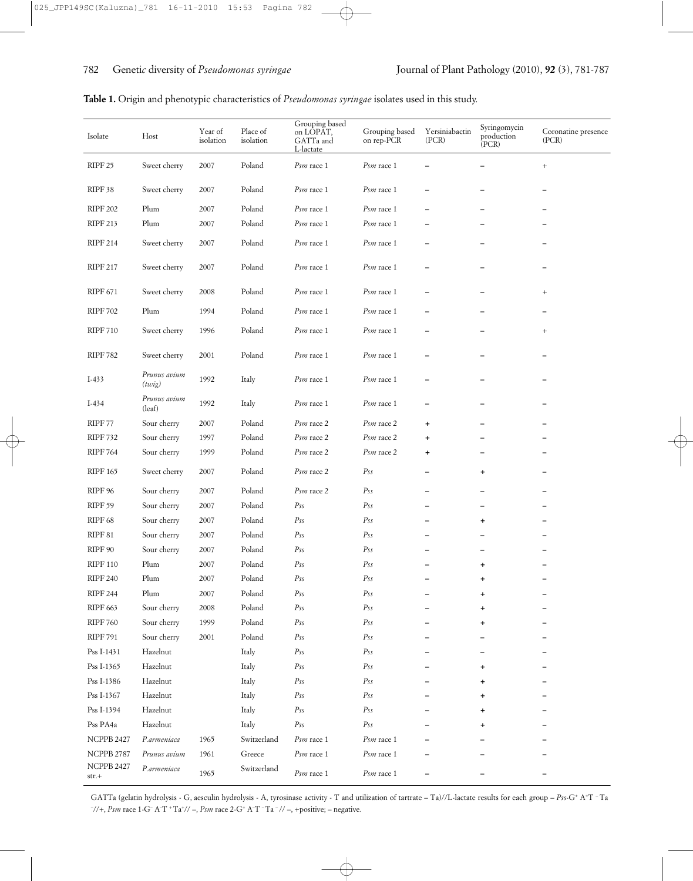| Isolate         | Host                   | Year of<br>isolation | Place of<br>isolation | Grouping based<br>on LOPAT,<br>GATTa and<br>L-lactate | Grouping based<br>on rep-PCR        | Yersiniabactin<br>(PCR)  | Syringomycin<br>production<br>(PCR) | Coronatine presence<br>(PCR) |
|-----------------|------------------------|----------------------|-----------------------|-------------------------------------------------------|-------------------------------------|--------------------------|-------------------------------------|------------------------------|
| RIPF 25         | Sweet cherry           | 2007                 | Poland                | Psm race 1                                            | Psm race 1                          |                          |                                     | $^{+}$                       |
| RIPF 38         | Sweet cherry           | 2007                 | Poland                | Psm race 1                                            | Psm race 1                          |                          |                                     | —                            |
| <b>RIPF 202</b> | Plum                   | 2007                 | Poland                | Psm race 1                                            | Psm race 1                          |                          |                                     |                              |
| <b>RIPF 213</b> | Plum                   | 2007                 | Poland                | Psm race 1                                            | Psm race 1                          |                          |                                     |                              |
| <b>RIPF 214</b> | Sweet cherry           | 2007                 | Poland                | Psm race 1                                            | Psm race 1                          |                          |                                     |                              |
| <b>RIPF 217</b> | Sweet cherry           | 2007                 | Poland                | Psm race 1                                            | Psm race 1                          |                          |                                     |                              |
| <b>RIPF 671</b> | Sweet cherry           | 2008                 | Poland                | Psm race 1                                            | Psm race 1                          |                          |                                     | $^{+}$                       |
| <b>RIPF 702</b> | Plum                   | 1994                 | Poland                | Psm race 1                                            | $P$ <sub>S<i>m</i></sub> race 1     |                          |                                     | —                            |
| <b>RIPF 710</b> | Sweet cherry           | 1996                 | Poland                | Psm race 1                                            | Psm race 1                          |                          |                                     | $^{+}$                       |
| <b>RIPF 782</b> | Sweet cherry           | 2001                 | Poland                | Psm race 1                                            | Psm race 1                          |                          |                                     |                              |
| $I-433$         | Prunus avium<br>(twig) | 1992                 | Italy                 | Psm race 1                                            | Psm race 1                          |                          |                                     |                              |
| $I-434$         | Prunus avium<br>(leaf) | 1992                 | Italy                 | Psm race 1                                            | Psm race 1                          |                          |                                     |                              |
| RIPF 77         | Sour cherry            | 2007                 | Poland                | Psm race 2                                            | Psm race 2                          | $\ddot{}$                |                                     |                              |
| <b>RIPF 732</b> | Sour cherry            | 1997                 | Poland                | Psm race 2                                            | Psm race 2                          | $\ddot{}$                |                                     |                              |
| <b>RIPF 764</b> | Sour cherry            | 1999                 | Poland                | Psm race 2                                            | Psm race 2                          | $\ddot{}$                |                                     |                              |
| <b>RIPF 165</b> | Sweet cherry           | 2007                 | Poland                | Psm race 2                                            | Ps <sub>s</sub>                     | $\overline{\phantom{0}}$ | +                                   | —                            |
| RIPF 96         | Sour cherry            | 2007                 | Poland                | Psm race 2                                            | $P_{SS}$                            |                          |                                     |                              |
| RIPF 59         | Sour cherry            | 2007                 | Poland                | $P_{SS}$                                              | Pss                                 |                          |                                     |                              |
| RIPF 68         | Sour cherry            | 2007                 | Poland                | $P_{SS}$                                              | Pss                                 | —                        | $\ddot{}$                           |                              |
| RIPF 81         | Sour cherry            | 2007                 | Poland                | $P_{SS}$                                              | $P_{SS}$                            |                          |                                     |                              |
| RIPF 90         | Sour cherry            | 2007                 | Poland                | $P_{SS}$                                              | Pss                                 |                          |                                     |                              |
| <b>RIPF 110</b> | Plum                   | 2007                 | Poland                | $P_{SS}$                                              | $P_{SS}$                            |                          | +                                   |                              |
| <b>RIPF 240</b> | Plum                   | 2007                 | Poland                | $P_{SS}$                                              | Pss                                 |                          | ÷                                   |                              |
| <b>RIPF 244</b> | Plum                   | 2007                 | Poland                | Ps <sub>s</sub>                                       | Ps <sub>s</sub>                     |                          | +                                   |                              |
| RIPF 663        | Sour cherry            | 2008                 | Poland                | $\mathcal{P}\mathcal{S}\mathcal{S}$                   | $\mathcal{P}\mathcal{S}\mathcal{S}$ |                          | $\ddot{}$                           |                              |
| <b>RIPF 760</b> | Sour cherry            | 1999                 | Poland                | Ps <sub>s</sub>                                       | Ps <sub>s</sub>                     |                          | $\ddot{}$                           |                              |
| <b>RIPF 791</b> | Sour cherry            | 2001                 | Poland                | Ps <sub>s</sub>                                       | Ps <sub>s</sub>                     |                          |                                     |                              |
| Pss I-1431      | Hazelnut               |                      | Italy                 | Ps <sub>s</sub>                                       | Ps <sub>s</sub>                     |                          |                                     |                              |
| Pss I-1365      | Hazelnut               |                      | Italy                 | Ps <sub>s</sub>                                       | Ps <sub>s</sub>                     |                          | $\ddot{}$                           |                              |
| Pss I-1386      | Hazelnut               |                      | Italy                 | Ps <sub>s</sub>                                       | Ps <sub>s</sub>                     |                          | ۰                                   |                              |
| Pss I-1367      | Hazelnut               |                      | Italy                 | Ps <sub>s</sub>                                       | Ps <sub>s</sub>                     |                          | $\ddot{}$                           |                              |
| Pss I-1394      | Hazelnut               |                      | Italy                 | Ps <sub>s</sub>                                       | Ps <sub>s</sub>                     |                          | +                                   |                              |
| Pss PA4a        | Hazelnut               |                      | Italy                 | Ps <sub>s</sub>                                       | Ps <sub>s</sub>                     |                          | $\ddagger$                          |                              |

GATTa (gelatin hydrolysis - G, aesculin hydrolysis - A, tyrosinase activity - T and utilization of tartrate – Ta)//L-lactate results for each group – *Pss*-G+ A+ T – Ta <sup>-</sup>//+, *Psm* race 1-G<sup>-</sup> A<sup>-</sup>T<sup>+</sup> Ta<sup>+</sup>// –, *Psm* race 2-G<sup>+</sup> A<sup>-</sup>T<sup>-</sup> Ta<sup>-</sup>// –, +positive; – negative.

NCPPB 2427 *P.armeniaca* 1965 Switzerland *Psm* race 1 *Psm* race 1 **–– –** NCPPB 2787 *Prunus avium* 1961 Greece *Psm* race 1 *Psm* race 1 **–– –**

str.+ *P.armeniaca* <sup>1965</sup> Switzerland *Psm* race 1 *Psm* race 1 **–– –**

NCPPB 2427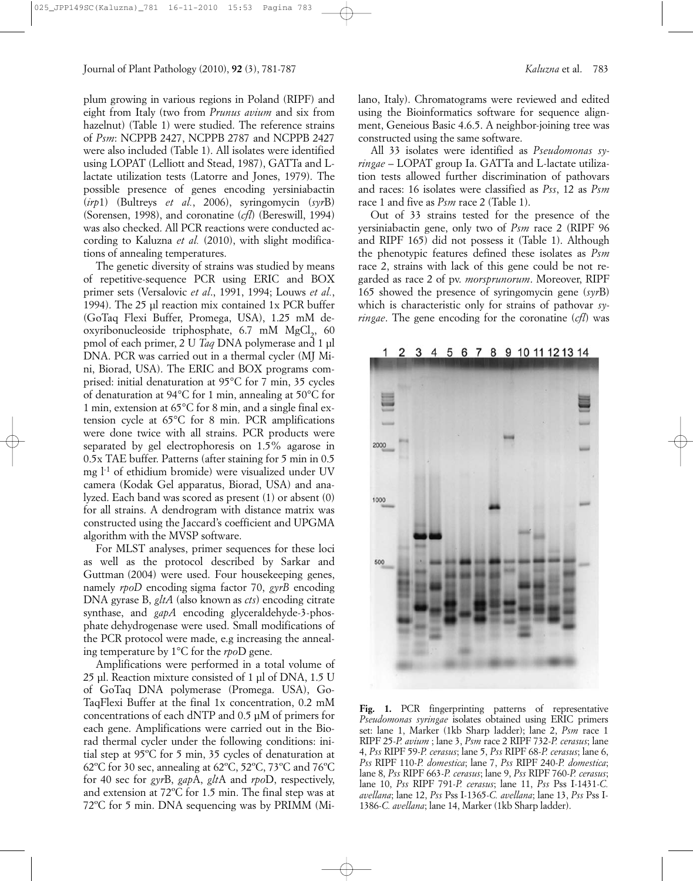plum growing in various regions in Poland (RIPF) and eight from Italy (two from *Prunus avium* and six from hazelnut) (Table 1) were studied. The reference strains of *Psm*: NCPPB 2427, NCPPB 2787 and NCPPB 2427 were also included (Table 1). All isolates were identified using LOPAT (Lelliott and Stead, 1987), GATTa and Llactate utilization tests (Latorre and Jones, 1979). The possible presence of genes encoding yersiniabactin (*irp*1) (Bultreys *et al.*, 2006), syringomycin (*syr*B) (Sorensen, 1998), and coronatine (*cfl*) (Bereswill, 1994) was also checked. All PCR reactions were conducted according to Kaluzna *et al.* (2010), with slight modifications of annealing temperatures.

The genetic diversity of strains was studied by means of repetitive-sequence PCR using ERIC and BOX primer sets (Versalovic *et al*., 1991, 1994; Louws *et al.*, 1994). The 25 µl reaction mix contained 1x PCR buffer (GoTaq Flexi Buffer, Promega, USA), 1.25 mM deoxyribonucleoside triphosphate, 6.7 mM MgCl<sub>2</sub>, 60 pmol of each primer, 2 U *Taq* DNA polymerase and 1 µl DNA. PCR was carried out in a thermal cycler (MJ Mini, Biorad, USA). The ERIC and BOX programs comprised: initial denaturation at 95°C for 7 min, 35 cycles of denaturation at 94°C for 1 min, annealing at 50°C for 1 min, extension at 65°C for 8 min, and a single final extension cycle at 65°C for 8 min. PCR amplifications were done twice with all strains. PCR products were separated by gel electrophoresis on 1.5% agarose in 0.5x TAE buffer. Patterns (after staining for 5 min in 0.5 mg l-1 of ethidium bromide) were visualized under UV camera (Kodak Gel apparatus, Biorad, USA) and analyzed. Each band was scored as present (1) or absent (0) for all strains. A dendrogram with distance matrix was constructed using the Jaccard's coefficient and UPGMA algorithm with the MVSP software.

For MLST analyses, primer sequences for these loci as well as the protocol described by Sarkar and Guttman (2004) were used. Four housekeeping genes, namely *rpoD* encoding sigma factor 70, *gyrB* encoding DNA gyrase B, *gltA* (also known as *cts*) encoding citrate synthase, and *gapA* encoding glyceraldehyde-3-phosphate dehydrogenase were used. Small modifications of the PCR protocol were made, e.g increasing the annealing temperature by 1°C for the *rpo*D gene.

Amplifications were performed in a total volume of 25 µl. Reaction mixture consisted of 1 µl of DNA, 1.5 U of GoTaq DNA polymerase (Promega. USA), Go-TaqFlexi Buffer at the final 1x concentration, 0.2 mM concentrations of each dNTP and 0.5 µM of primers for each gene. Amplifications were carried out in the Biorad thermal cycler under the following conditions: initial step at 95ºC for 5 min, 35 cycles of denaturation at 62ºC for 30 sec, annealing at 62ºC, 52ºC, 73ºC and 76ºC for 40 sec for *gyr*B, *gap*A, *glt*A and *rpo*D, respectively, and extension at 72ºC for 1.5 min. The final step was at 72ºC for 5 min. DNA sequencing was by PRIMM (Milano, Italy). Chromatograms were reviewed and edited using the Bioinformatics software for sequence alignment, Geneious Basic 4.6.5. A neighbor-joining tree was constructed using the same software.

All 33 isolates were identified as *Pseudomonas syringae* – LOPAT group Ia. GATTa and L-lactate utilization tests allowed further discrimination of pathovars and races: 16 isolates were classified as *Pss*, 12 as *Psm* race 1 and five as *Psm* race 2 (Table 1).

Out of 33 strains tested for the presence of the yersiniabactin gene, only two of *Psm* race 2 (RIPF 96 and RIPF 165) did not possess it (Table 1). Although the phenotypic features defined these isolates as *Psm* race 2, strains with lack of this gene could be not regarded as race 2 of pv. *morsprunorum*. Moreover, RIPF 165 showed the presence of syringomycin gene (*syr*B) which is characteristic only for strains of pathovar *syringae*. The gene encoding for the coronatine (*cfl*) was

> 3 4 5 6 7 8 9 10 11 12 13 14 2



Fig. 1. PCR fingerprinting patterns of representative *Pseudomonas syringae* isolates obtained using ERIC primers set: lane 1, Marker (1kb Sharp ladder); lane 2, *Psm* race 1 RIPF 25-*P. avium* ; lane 3, *Psm* race 2 RIPF 732-*P. cerasus*; lane 4, *Pss* RIPF 59-*P. cerasus*; lane 5, *Pss* RIPF 68-*P. cerasus*; lane 6, *Pss* RIPF 110-*P. domestica*; lane 7, *Pss* RIPF 240-*P. domestica*; lane 8, *Pss* RIPF 663-*P. cerasus*; lane 9, *Pss* RIPF 760-*P. cerasus*; lane 10, *Pss* RIPF 791-*P. cerasus*; lane 11, *Pss* Pss I-1431-*C. avellana*; lane 12, *Pss* Pss I-1365-*C. avellana*; lane 13, *Pss* Pss I-1386-*C. avellana*; lane 14, Marker (1kb Sharp ladder).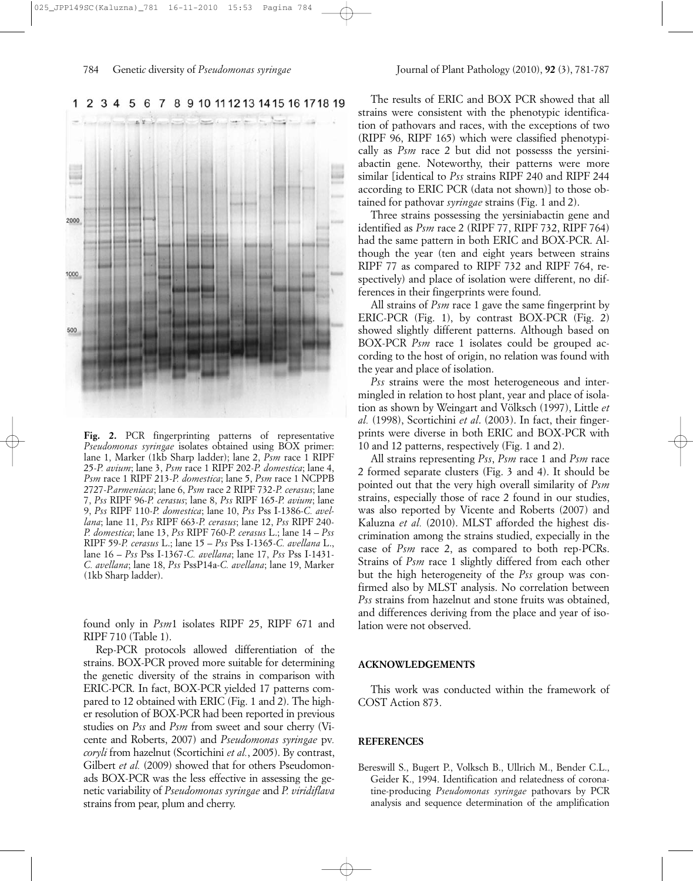

6 7 8 9 10 11 12 13 14 15 16 17 18 19 1 2 3 4 5

**Fig. 2.** PCR fingerprinting patterns of representative *Pseudomonas syringae* isolates obtained using BOX primer: lane 1, Marker (1kb Sharp ladder); lane 2, *Psm* race 1 RIPF 25-*P. avium*; lane 3, *Psm* race 1 RIPF 202-*P. domestica*; lane 4, *Psm* race 1 RIPF 213-*P. domestica*; lane 5, *Psm* race 1 NCPPB 2727-*P.armeniaca*; lane 6, *Psm* race 2 RIPF 732-*P. cerasus*; lane 7, *Pss* RIPF 96-*P. cerasus*; lane 8, *Pss* RIPF 165-*P. avium*; lane 9, *Pss* RIPF 110-*P. domestica*; lane 10, *Pss* Pss I-1386-*C. avellana*; lane 11, *Pss* RIPF 663-*P. cerasus*; lane 12, *Pss* RIPF 240- *P. domestica*; lane 13, *Pss* RIPF 760-*P. cerasus* L.; lane 14 – *Pss* RIPF 59-*P. cerasus* L.; lane 15 – *Pss* Pss I-1365-*C. avellana* L., lane 16 – *Pss* Pss I-1367-*C. avellana*; lane 17, *Pss* Pss I-1431- *C. avellana*; lane 18, *Pss* PssP14a-*C. avellana*; lane 19, Marker (1kb Sharp ladder).

found only in *Psm*1 isolates RIPF 25, RIPF 671 and RIPF 710 (Table 1).

Rep-PCR protocols allowed differentiation of the strains. BOX-PCR proved more suitable for determining the genetic diversity of the strains in comparison with ERIC-PCR. In fact, BOX-PCR yielded 17 patterns compared to 12 obtained with ERIC (Fig. 1 and 2). The higher resolution of BOX-PCR had been reported in previous studies on *Pss* and *Psm* from sweet and sour cherry (Vicente and Roberts, 2007) and *Pseudomonas syringae* pv*. coryli* from hazelnut (Scortichini *et al.*, 2005). By contrast, Gilbert et al. (2009) showed that for others Pseudomonads BOX-PCR was the less effective in assessing the genetic variability of *Pseudomonas syringae* and *P. viridiflava* strains from pear, plum and cherry.

The results of ERIC and BOX PCR showed that all strains were consistent with the phenotypic identification of pathovars and races, with the exceptions of two (RIPF 96, RIPF 165) which were classified phenotypically as *Psm* race 2 but did not possesss the yersiniabactin gene. Noteworthy, their patterns were more similar [identical to *Pss* strains RIPF 240 and RIPF 244 according to ERIC PCR (data not shown)] to those obtained for pathovar *syringae* strains (Fig. 1 and 2).

Three strains possessing the yersiniabactin gene and identified as *Psm* race 2 (RIPF 77, RIPF 732, RIPF 764) had the same pattern in both ERIC and BOX-PCR. Although the year (ten and eight years between strains RIPF 77 as compared to RIPF 732 and RIPF 764, respectively) and place of isolation were different, no differences in their fingerprints were found.

All strains of *Psm* race 1 gave the same fingerprint by ERIC-PCR (Fig. 1), by contrast BOX-PCR (Fig. 2) showed slightly different patterns. Although based on BOX-PCR *Psm* race 1 isolates could be grouped according to the host of origin, no relation was found with the year and place of isolation.

*Pss* strains were the most heterogeneous and intermingled in relation to host plant, year and place of isolation as shown by Weingart and Völksch (1997), Little *et al.* (1998), Scortichini *et al*. (2003). In fact, their fingerprints were diverse in both ERIC and BOX-PCR with 10 and 12 patterns, respectively (Fig. 1 and 2).

All strains representing *Pss*, *Psm* race 1 and *Psm* race 2 formed separate clusters (Fig. 3 and 4). It should be pointed out that the very high overall similarity of *Psm* strains, especially those of race 2 found in our studies, was also reported by Vicente and Roberts (2007) and Kaluzna *et al.* (2010). MLST afforded the highest discrimination among the strains studied, expecially in the case of *Psm* race 2, as compared to both rep-PCRs. Strains of *Psm* race 1 slightly differed from each other but the high heterogeneity of the *Pss* group was confirmed also by MLST analysis. No correlation between *Pss* strains from hazelnut and stone fruits was obtained, and differences deriving from the place and year of isolation were not observed.

## **ACKNOWLEDGEMENTS**

This work was conducted within the framework of COST Action 873.

## **REFERENCES**

Bereswill S., Bugert P., Volksch B., Ullrich M., Bender C.L., Geider K., 1994. Identification and relatedness of coronatine-producing *Pseudomonas syringae* pathovars by PCR analysis and sequence determination of the amplification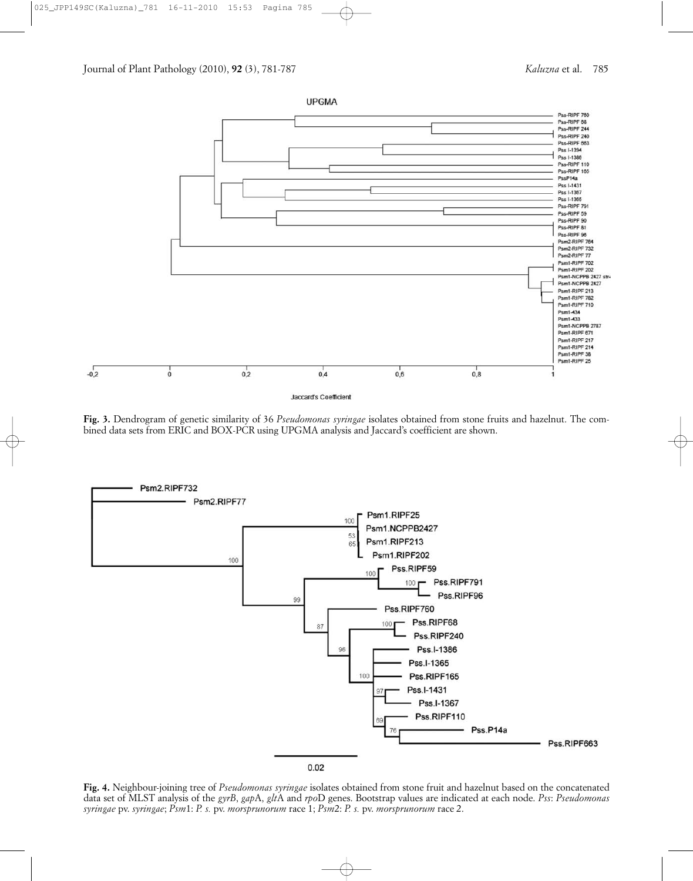

**Fig. 3.** Dendrogram of genetic similarity of 36 *Pseudomonas syringae* isolates obtained from stone fruits and hazelnut. The combined data sets from ERIC and BOX-PCR using UPGMA analysis and Jaccard's coefficient are shown.



**Fig. 4.** Neighbour-joining tree of *Pseudomonas syringae* isolates obtained from stone fruit and hazelnut based on the concatenated data set of MLST analysis of the *gyrB*, *gap*A, *glt*A and *rpo*D genes. Bootstrap values are indicated at each node. *Pss*: *Pseudomonas syringae* pv. *syringae*; *Psm*1: *P. s.* pv. *morsprunorum* race 1; *Psm*2: *P. s.* pv. *morsprunorum* race 2.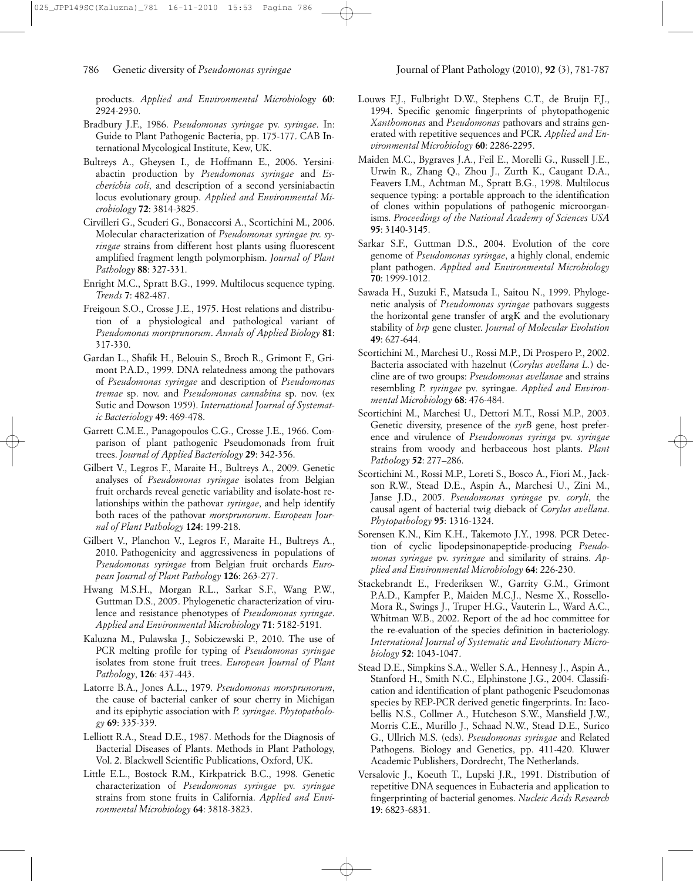products. *Applied and Environmental Microbiol*ogy **60**: 2924-2930.

- Bradbury J.F., 1986. *Pseudomonas syringae* pv. *syringae*. In: Guide to Plant Pathogenic Bacteria, pp. 175-177. CAB International Mycological Institute, Kew, UK.
- Bultreys A., Gheysen I., de Hoffmann E., 2006. Yersiniabactin production by *Pseudomonas syringae* and *Escherichia coli*, and description of a second yersiniabactin locus evolutionary group. *Applied and Environmental Microbiology* **72**: 3814-3825.
- Cirvilleri G., Scuderi G., Bonaccorsi A., Scortichini M., 2006. Molecular characterization of *Pseudomonas syringae p*v. *syringae* strains from different host plants using fluorescent amplified fragment length polymorphism. *Journal of Plant Pathology* **88**: 327-331.
- Enright M.C., Spratt B.G., 1999. Multilocus sequence typing. *Trends* **7**: 482-487.
- Freigoun S.O., Crosse J.E., 1975. Host relations and distribution of a physiological and pathological variant of *Pseudomonas morsprunorum*. *Annals of Applied Biology* **81**: 317-330.
- Gardan L., Shafik H., Belouin S., Broch R., Grimont F., Grimont P.A.D., 1999. DNA relatedness among the pathovars of *Pseudomonas syringae* and description of *Pseudomonas tremae* sp. nov. and *Pseudomonas cannabina* sp. nov. (ex Sutic and Dowson 1959). *International Journal of Systematic Bacteriology* **49**: 469-478.
- Garrett C.M.E., Panagopoulos C.G., Crosse J.E., 1966. Comparison of plant pathogenic Pseudomonads from fruit trees. *Journal of Applied Bacteriology* **29**: 342-356.
- Gilbert V., Legros F., Maraite H., Bultreys A., 2009. Genetic analyses of *Pseudomonas syringae* isolates from Belgian fruit orchards reveal genetic variability and isolate-host relationships within the pathovar *syringae*, and help identify both races of the pathovar *morsprunorum*. *European Journal of Plant Pathology* **124**: 199-218.
- Gilbert V., Planchon V., Legros F., Maraite H., Bultreys A., 2010. Pathogenicity and aggressiveness in populations of *Pseudomonas syringae* from Belgian fruit orchards *European Journal of Plant Pathology* **126**: 263-277.
- Hwang M.S.H., Morgan R.L., Sarkar S.F., Wang P.W., Guttman D.S., 2005. Phylogenetic characterization of virulence and resistance phenotypes of *Pseudomonas syringae*. *Applied and Environmental Microbiology* **71**: 5182-5191.
- Kaluzna M., Pulawska J., Sobiczewski P., 2010. The use of PCR melting profile for typing of *Pseudomonas syringae* isolates from stone fruit trees. *European Journal of Plant Pathology*, **126**: 437-443.
- Latorre B.A., Jones A.L., 1979. *Pseudomonas morsprunorum*, the cause of bacterial canker of sour cherry in Michigan and its epiphytic association with *P. syringae*. *Phytopathology* **69**: 335-339.
- Lelliott R.A., Stead D.E., 1987. Methods for the Diagnosis of Bacterial Diseases of Plants. Methods in Plant Pathology, Vol. 2. Blackwell Scientific Publications, Oxford, UK.
- Little E.L., Bostock R.M., Kirkpatrick B.C., 1998. Genetic characterization of *Pseudomonas syringae* pv. *syringae* strains from stone fruits in California. *Applied and Environmental Microbiology* **64**: 3818-3823.
- Louws F.J., Fulbright D.W., Stephens C.T., de Bruijn F.J., 1994. Specific genomic fingerprints of phytopathogenic *Xanthomonas* and *Pseudomonas* pathovars and strains generated with repetitive sequences and PCR. *Applied and Environmental Microbiology* **60**: 2286-2295.
- Maiden M.C., Bygraves J.A., Feil E., Morelli G., Russell J.E., Urwin R., Zhang Q., Zhou J., Zurth K., Caugant D.A., Feavers I.M., Achtman M., Spratt B.G., 1998. Multilocus sequence typing: a portable approach to the identification of clones within populations of pathogenic microorganisms. *Proceedings of the National Academy of Sciences USA* **95**: 3140-3145.
- Sarkar S.F., Guttman D.S., 2004. Evolution of the core genome of *Pseudomonas syringae*, a highly clonal, endemic plant pathogen. *Applied and Environmental Microbiology* **70**: 1999-1012.
- Sawada H., Suzuki F., Matsuda I., Saitou N., 1999. Phylogenetic analysis of *Pseudomonas syringae* pathovars suggests the horizontal gene transfer of argK and the evolutionary stability of *hrp* gene cluster. *Journal of Molecular Evolution* **49**: 627-644.
- Scortichini M., Marchesi U., Rossi M.P., Di Prospero P., 2002. Bacteria associated with hazelnut (*Corylus avellana L.*) decline are of two groups: *Pseudomonas avellanae* and strains resembling *P. syringae* pv*.* syringae. *Applied and Environmental Microbiology* **68**: 476-484.
- Scortichini M., Marchesi U., Dettori M.T., Rossi M.P., 2003. Genetic diversity, presence of the *syrB* gene, host preference and virulence of *Pseudomonas syringa* pv. *syringae* strains from woody and herbaceous host plants. *Plant Pathology* **52**: 277–286.
- Scortichini M., Rossi M.P., Loreti S., Bosco A., Fiori M., Jackson R.W., Stead D.E., Aspin A., Marchesi U., Zini M., Janse J.D., 2005. *Pseudomonas syringae* pv*. coryli*, the causal agent of bacterial twig dieback of *Corylus avellana*. *Phytopathology* **95**: 1316-1324.
- Sorensen K.N., Kim K.H., Takemoto J.Y., 1998. PCR Detection of cyclic lipodepsinonapeptide-producing *Pseudomonas syringae* pv. *syringae* and similarity of strains. *Applied and Environmental Microbiology* **64**: 226-230.
- Stackebrandt E., Frederiksen W., Garrity G.M., Grimont P.A.D., Kampfer P., Maiden M.C.J., Nesme X., Rossello-Mora R., Swings J., Truper H.G., Vauterin L., Ward A.C., Whitman W.B., 2002. Report of the ad hoc committee for the re-evaluation of the species definition in bacteriology. *International Journal of Systematic and Evolutionary Microbiology* **52**: 1043-1047.
- Stead D.E., Simpkins S.A., Weller S.A., Hennesy J., Aspin A., Stanford H., Smith N.C., Elphinstone J.G., 2004. Classification and identification of plant pathogenic Pseudomonas species by REP-PCR derived genetic fingerprints. In: Iacobellis N.S., Collmer A., Hutcheson S.W., Mansfield J.W., Morris C.E., Murillo J., Schaad N.W., Stead D.E., Surico G., Ullrich M.S. (eds). *Pseudomonas syringae* and Related Pathogens. Biology and Genetics, pp. 411-420. Kluwer Academic Publishers, Dordrecht, The Netherlands.
- Versalovic J., Koeuth T., Lupski J.R., 1991. Distribution of repetitive DNA sequences in Eubacteria and application to fingerprinting of bacterial genomes. *Nucleic Acids Research* **19**: 6823-6831.